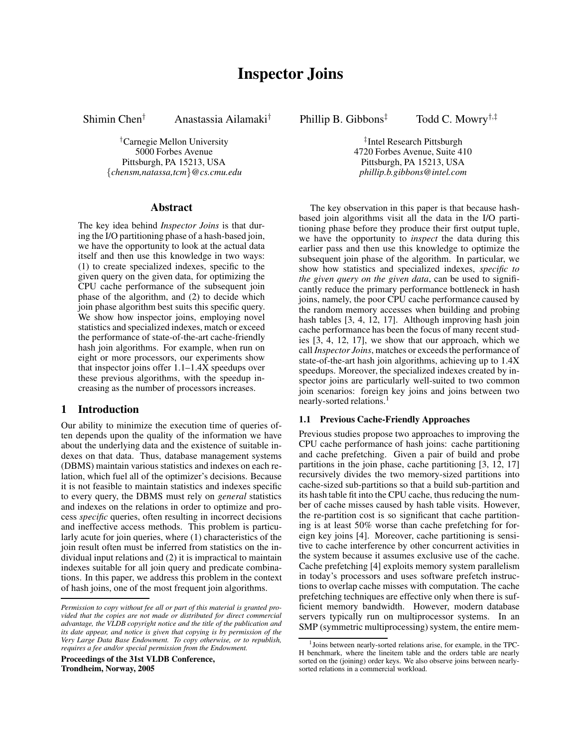Shimin Chen† Anastassia Ailamaki† Phillip B. Gibbons‡ Todd C. Mowry†,‡

†Carnegie Mellon University ‡ Pittsburgh, PA 15213, USA Pittsburgh, PA 15213, USA {*chensm,natassa,tcm*}*@cs.cmu.edu phillip.b.gibbons@intel.com*

## **Abstract**

The key idea behind *Inspector Joins* is that during the I/O partitioning phase of a hash-based join, we have the opportunity to look at the actual data itself and then use this knowledge in two ways: (1) to create specialized indexes, specific to the given query on the given data, for optimizing the CPU cache performance of the subsequent join phase of the algorithm, and (2) to decide which join phase algorithm best suits this specific query. We show how inspector joins, employing novel statistics and specialized indexes, match or exceed the performance of state-of-the-art cache-friendly hash join algorithms. For example, when run on eight or more processors, our experiments show that inspector joins offer 1.1–1.4X speedups over these previous algorithms, with the speedup increasing as the number of processors increases.

# **1 Introduction**

Our ability to minimize the execution time of queries often depends upon the quality of the information we have about the underlying data and the existence of suitable indexes on that data. Thus, database management systems (DBMS) maintain various statistics and indexes on each relation, which fuel all of the optimizer's decisions. Because it is not feasible to maintain statistics and indexes specific to every query, the DBMS must rely on *general* statistics and indexes on the relations in order to optimize and process *specific* queries, often resulting in incorrect decisions and ineffective access methods. This problem is particularly acute for join queries, where (1) characteristics of the join result often must be inferred from statistics on the individual input relations and (2) it is impractical to maintain indexes suitable for all join query and predicate combinations. In this paper, we address this problem in the context of hash joins, one of the most frequent join algorithms.

**Proceedings of the 31st VLDB Conference, Trondheim, Norway, 2005**

<sup>‡</sup>Intel Research Pittsburgh 5000 Forbes Avenue 4720 Forbes Avenue, Suite 410

> The key observation in this paper is that because hashbased join algorithms visit all the data in the I/O partitioning phase before they produce their first output tuple, we have the opportunity to *inspect* the data during this earlier pass and then use this knowledge to optimize the subsequent join phase of the algorithm. In particular, we show how statistics and specialized indexes, *specific to the given query on the given data*, can be used to significantly reduce the primary performance bottleneck in hash joins, namely, the poor CPU cache performance caused by the random memory accesses when building and probing hash tables [3, 4, 12, 17]. Although improving hash join cache performance has been the focus of many recent studies [3, 4, 12, 17], we show that our approach, which we call *Inspector Joins*, matches or exceeds the performance of state-of-the-art hash join algorithms, achieving up to 1.4X speedups. Moreover, the specialized indexes created by inspector joins are particularly well-suited to two common join scenarios: foreign key joins and joins between two nearly-sorted relations.<sup>1</sup>

### **1.1 Previous Cache-Friendly Approaches**

Previous studies propose two approaches to improving the CPU cache performance of hash joins: cache partitioning and cache prefetching. Given a pair of build and probe partitions in the join phase, cache partitioning [3, 12, 17] recursively divides the two memory-sized partitions into cache-sized sub-partitions so that a build sub-partition and its hash table fit into the CPU cache, thus reducing the number of cache misses caused by hash table visits. However, the re-partition cost is so significant that cache partitioning is at least 50% worse than cache prefetching for foreign key joins [4]. Moreover, cache partitioning is sensitive to cache interference by other concurrent activities in the system because it assumes exclusive use of the cache. Cache prefetching [4] exploits memory system parallelism in today's processors and uses software prefetch instructions to overlap cache misses with computation. The cache prefetching techniques are effective only when there is sufficient memory bandwidth. However, modern database servers typically run on multiprocessor systems. In an SMP (symmetric multiprocessing) system, the entire mem-

*Permission to copy without fee all or part of this material is granted provided that the copies are not made or distributed for direct commercial advantage, the VLDB copyright notice and the title of the publication and its date appear, and notice is given that copying is by permission of the Very Large Data Base Endowment. To copy otherwise, or to republish, requires a fee and/or special permission from the Endowment.*

<sup>&</sup>lt;sup>1</sup> Joins between nearly-sorted relations arise, for example, in the TPC-H benchmark, where the lineitem table and the orders table are nearly sorted on the (joining) order keys. We also observe joins between nearlysorted relations in a commercial workload.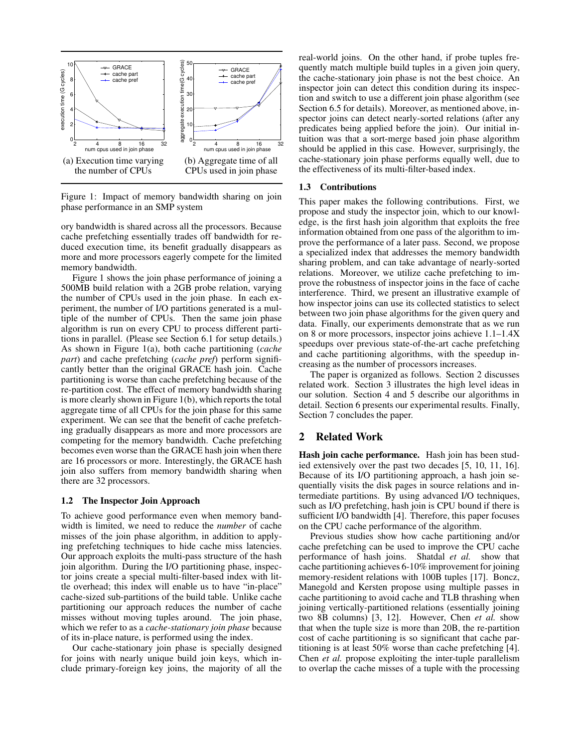

Figure 1: Impact of memory bandwidth sharing on join phase performance in an SMP system

ory bandwidth is shared across all the processors. Because cache prefetching essentially trades off bandwidth for reduced execution time, its benefit gradually disappears as more and more processors eagerly compete for the limited memory bandwidth.

Figure 1 shows the join phase performance of joining a 500MB build relation with a 2GB probe relation, varying the number of CPUs used in the join phase. In each experiment, the number of I/O partitions generated is a multiple of the number of CPUs. Then the same join phase algorithm is run on every CPU to process different partitions in parallel. (Please see Section 6.1 for setup details.) As shown in Figure 1(a), both cache partitioning (*cache part*) and cache prefetching (*cache pref*) perform significantly better than the original GRACE hash join. Cache partitioning is worse than cache prefetching because of the re-partition cost. The effect of memory bandwidth sharing is more clearly shown in Figure  $1(b)$ , which reports the total aggregate time of all CPUs for the join phase for this same experiment. We can see that the benefit of cache prefetching gradually disappears as more and more processors are competing for the memory bandwidth. Cache prefetching becomes even worse than the GRACE hash join when there are 16 processors or more. Interestingly, the GRACE hash join also suffers from memory bandwidth sharing when there are 32 processors.

#### **1.2 The Inspector Join Approach**

To achieve good performance even when memory bandwidth is limited, we need to reduce the *number* of cache misses of the join phase algorithm, in addition to applying prefetching techniques to hide cache miss latencies. Our approach exploits the multi-pass structure of the hash join algorithm. During the I/O partitioning phase, inspector joins create a special multi-filter-based index with little overhead; this index will enable us to have "in-place" cache-sized sub-partitions of the build table. Unlike cache partitioning our approach reduces the number of cache misses without moving tuples around. The join phase, which we refer to as a *cache-stationary join phase* because of its in-place nature, is performed using the index.

Our cache-stationary join phase is specially designed for joins with nearly unique build join keys, which include primary-foreign key joins, the majority of all the real-world joins. On the other hand, if probe tuples frequently match multiple build tuples in a given join query, the cache-stationary join phase is not the best choice. An inspector join can detect this condition during its inspection and switch to use a different join phase algorithm (see Section 6.5 for details). Moreover, as mentioned above, inspector joins can detect nearly-sorted relations (after any predicates being applied before the join). Our initial intuition was that a sort-merge based join phase algorithm should be applied in this case. However, surprisingly, the cache-stationary join phase performs equally well, due to the effectiveness of its multi-filter-based index.

#### **1.3 Contributions**

This paper makes the following contributions. First, we propose and study the inspector join, which to our knowledge, is the first hash join algorithm that exploits the free information obtained from one pass of the algorithm to improve the performance of a later pass. Second, we propose a specialized index that addresses the memory bandwidth sharing problem, and can take advantage of nearly-sorted relations. Moreover, we utilize cache prefetching to improve the robustness of inspector joins in the face of cache interference. Third, we present an illustrative example of how inspector joins can use its collected statistics to select between two join phase algorithms for the given query and data. Finally, our experiments demonstrate that as we run on 8 or more processors, inspector joins achieve 1.1–1.4X speedups over previous state-of-the-art cache prefetching and cache partitioning algorithms, with the speedup increasing as the number of processors increases.

The paper is organized as follows. Section 2 discusses related work. Section 3 illustrates the high level ideas in our solution. Section 4 and 5 describe our algorithms in detail. Section 6 presents our experimental results. Finally, Section 7 concludes the paper.

### **2 Related Work**

**Hash join cache performance.** Hash join has been studied extensively over the past two decades [5, 10, 11, 16]. Because of its I/O partitioning approach, a hash join sequentially visits the disk pages in source relations and intermediate partitions. By using advanced I/O techniques, such as I/O prefetching, hash join is CPU bound if there is sufficient I/O bandwidth [4]. Therefore, this paper focuses on the CPU cache performance of the algorithm.

Previous studies show how cache partitioning and/or cache prefetching can be used to improve the CPU cache performance of hash joins. Shatdal *et al.* show that cache partitioning achieves 6-10% improvement for joining memory-resident relations with 100B tuples [17]. Boncz, Manegold and Kersten propose using multiple passes in cache partitioning to avoid cache and TLB thrashing when joining vertically-partitioned relations (essentially joining two 8B columns) [3, 12]. However, Chen *et al.* show that when the tuple size is more than 20B, the re-partition cost of cache partitioning is so significant that cache partitioning is at least 50% worse than cache prefetching [4]. Chen *et al.* propose exploiting the inter-tuple parallelism to overlap the cache misses of a tuple with the processing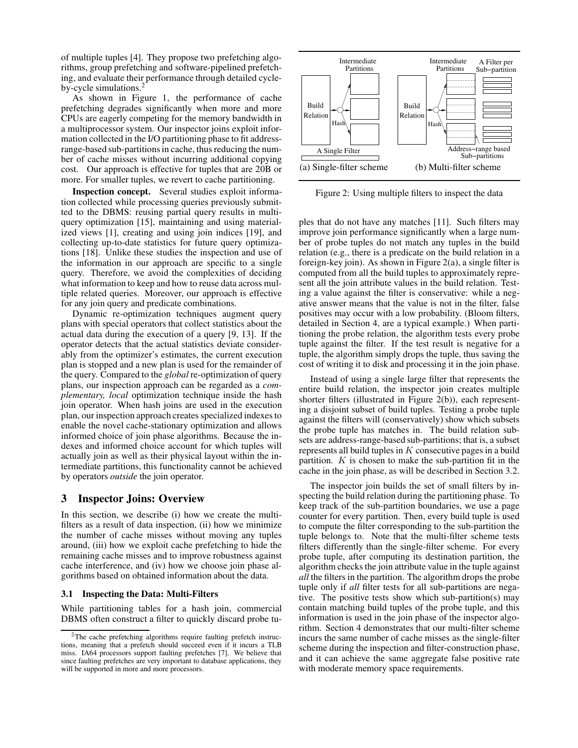of multiple tuples [4]. They propose two prefetching algorithms, group prefetching and software-pipelined prefetching, and evaluate their performance through detailed cycleby-cycle simulations.<sup>2</sup>

As shown in Figure 1, the performance of cache prefetching degrades significantly when more and more CPUs are eagerly competing for the memory bandwidth in a multiprocessor system. Our inspector joins exploit information collected in the I/O partitioning phase to fit addressrange-based sub-partitions in cache, thus reducing the number of cache misses without incurring additional copying cost. Our approach is effective for tuples that are 20B or more. For smaller tuples, we revert to cache partitioning.

**Inspection concept.** Several studies exploit information collected while processing queries previously submitted to the DBMS: reusing partial query results in multiquery optimization [15], maintaining and using materialized views [1], creating and using join indices [19], and collecting up-to-date statistics for future query optimizations [18]. Unlike these studies the inspection and use of the information in our approach are specific to a single query. Therefore, we avoid the complexities of deciding what information to keep and how to reuse data across multiple related queries. Moreover, our approach is effective for any join query and predicate combinations.

Dynamic re-optimization techniques augment query plans with special operators that collect statistics about the actual data during the execution of a query [9, 13]. If the operator detects that the actual statistics deviate considerably from the optimizer's estimates, the current execution plan is stopped and a new plan is used for the remainder of the query. Compared to the *global* re-optimization of query plans, our inspection approach can be regarded as a *complementary, local* optimization technique inside the hash join operator. When hash joins are used in the execution plan, our inspection approach creates specialized indexesto enable the novel cache-stationary optimization and allows informed choice of join phase algorithms. Because the indexes and informed choice account for which tuples will actually join as well as their physical layout within the intermediate partitions, this functionality cannot be achieved by operators *outside* the join operator.

## **3 Inspector Joins: Overview**

In this section, we describe (i) how we create the multifilters as a result of data inspection, (ii) how we minimize the number of cache misses without moving any tuples around, (iii) how we exploit cache prefetching to hide the remaining cache misses and to improve robustness against cache interference, and (iv) how we choose join phase algorithms based on obtained information about the data.

#### **3.1 Inspecting the Data: Multi-Filters**

While partitioning tables for a hash join, commercial DBMS often construct a filter to quickly discard probe tu-



Figure 2: Using multiple filters to inspect the data

ples that do not have any matches [11]. Such filters may improve join performance significantly when a large number of probe tuples do not match any tuples in the build relation (e.g., there is a predicate on the build relation in a foreign-key join). As shown in Figure 2(a), a single filter is computed from all the build tuples to approximately represent all the join attribute values in the build relation. Testing a value against the filter is conservative: while a negative answer means that the value is not in the filter, false positives may occur with a low probability. (Bloom filters, detailed in Section 4, are a typical example.) When partitioning the probe relation, the algorithm tests every probe tuple against the filter. If the test result is negative for a tuple, the algorithm simply drops the tuple, thus saving the cost of writing it to disk and processing it in the join phase.

Instead of using a single large filter that represents the entire build relation, the inspector join creates multiple shorter filters (illustrated in Figure 2(b)), each representing a disjoint subset of build tuples. Testing a probe tuple against the filters will (conservatively) show which subsets the probe tuple has matches in. The build relation subsets are address-range-based sub-partitions; that is, a subset represents all build tuples in  $K$  consecutive pages in a build partition.  $K$  is chosen to make the sub-partition fit in the cache in the join phase, as will be described in Section 3.2.

The inspector join builds the set of small filters by inspecting the build relation during the partitioning phase. To keep track of the sub-partition boundaries, we use a page counter for every partition. Then, every build tuple is used to compute the filter corresponding to the sub-partition the tuple belongs to. Note that the multi-filter scheme tests filters differently than the single-filter scheme. For every probe tuple, after computing its destination partition, the algorithm checks the join attribute value in the tuple against *all* the filters in the partition. The algorithm drops the probe tuple only if *all* filter tests for all sub-partitions are negative. The positive tests show which sub-partition(s) may contain matching build tuples of the probe tuple, and this information is used in the join phase of the inspector algorithm. Section 4 demonstrates that our multi-filter scheme incurs the same number of cache misses as the single-filter scheme during the inspection and filter-construction phase, and it can achieve the same aggregate false positive rate with moderate memory space requirements.

<sup>2</sup>The cache prefetching algorithms require faulting prefetch instructions, meaning that a prefetch should succeed even if it incurs a TLB miss. IA64 processors support faulting prefetches [7]. We believe that since faulting prefetches are very important to database applications, they will be supported in more and more processors.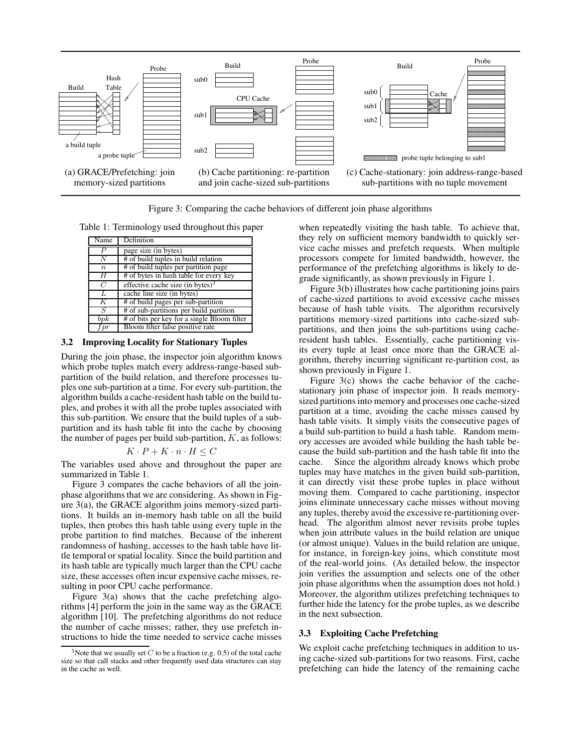

Figure 3: Comparing the cache behaviors of different join phase algorithms

Table 1: Terminology used throughout this paper

| Name             | Definition                                  |
|------------------|---------------------------------------------|
| Ρ                | page size (in bytes)                        |
| N                | # of build tuples in build relation         |
| $\boldsymbol{n}$ | # of build tuples per partition page        |
| H                | # of bytes in hash table for every key      |
| $\overline{C}$   | effective cache size (in bytes) $3$         |
| $\overline{L}$   | cache line size (in bytes)                  |
| Κ                | # of build pages per sub-partition          |
| S                | # of sub-partitions per build partition     |
| bpk              | # of bits per key for a single Bloom filter |
| $_{fpr}$         | Bloom filter false positive rate            |

#### **3.2 Improving Locality for Stationary Tuples**

During the join phase, the inspector join algorithm knows which probe tuples match every address-range-based subpartition of the build relation, and therefore processes tuples one sub-partition at a time. For every sub-partition, the algorithm builds a cache-resident hash table on the build tuples, and probes it with all the probe tuples associated with this sub-partition. We ensure that the build tuples of a subpartition and its hash table fit into the cache by choosing the number of pages per build sub-partition,  $K$ , as follows:

$$
K \cdot P + K \cdot n \cdot H \leq C
$$

The variables used above and throughout the paper are summarized in Table 1.

Figure 3 compares the cache behaviors of all the joinphase algorithms that we are considering. As shown in Figure 3(a), the GRACE algorithm joins memory-sized partitions. It builds an in-memory hash table on all the build tuples, then probes this hash table using every tuple in the probe partition to find matches. Because of the inherent randomness of hashing, accesses to the hash table have little temporal or spatial locality. Since the build partition and its hash table are typically much larger than the CPU cache size, these accesses often incur expensive cache misses, resulting in poor CPU cache performance.

Figure 3(a) shows that the cache prefetching algorithms [4] perform the join in the same way as the GRACE algorithm [10]. The prefetching algorithms do not reduce the number of cache misses; rather, they use prefetch instructions to hide the time needed to service cache misses

when repeatedly visiting the hash table. To achieve that, they rely on sufficient memory bandwidth to quickly service cache misses and prefetch requests. When multiple processors compete for limited bandwidth, however, the performance of the prefetching algorithms is likely to degrade significantly, as shown previously in Figure 1.

Figure 3(b) illustrates how cache partitioning joins pairs of cache-sized partitions to avoid excessive cache misses because of hash table visits. The algorithm recursively partitions memory-sized partitions into cache-sized subpartitions, and then joins the sub-partitions using cacheresident hash tables. Essentially, cache partitioning visits every tuple at least once more than the GRACE algorithm, thereby incurring significant re-partition cost, as shown previously in Figure 1.

Figure 3(c) shows the cache behavior of the cachestationary join phase of inspector join. It reads memorysized partitions into memory and processes one cache-sized partition at a time, avoiding the cache misses caused by hash table visits. It simply visits the consecutive pages of a build sub-partition to build a hash table. Random memory accesses are avoided while building the hash table because the build sub-partition and the hash table fit into the cache. Since the algorithm already knows which probe tuples may have matches in the given build sub-partition, it can directly visit these probe tuples in place without moving them. Compared to cache partitioning, inspector joins eliminate unnecessary cache misses without moving any tuples, thereby avoid the excessive re-partitioning overhead. The algorithm almost never revisits probe tuples when join attribute values in the build relation are unique (or almost unique). Values in the build relation are unique, for instance, in foreign-key joins, which constitute most of the real-world joins. (As detailed below, the inspector join verifies the assumption and selects one of the other join phase algorithms when the assumption does not hold.) Moreover, the algorithm utilizes prefetching techniques to further hide the latency for the probe tuples, as we describe in the next subsection.

### **3.3 Exploiting Cache Prefetching**

We exploit cache prefetching techniques in addition to using cache-sized sub-partitions for two reasons. First, cache prefetching can hide the latency of the remaining cache

<sup>&</sup>lt;sup>3</sup>Note that we usually set C to be a fraction (e.g. 0.5) of the total cache size so that call stacks and other frequently used data structures can stay in the cache as well.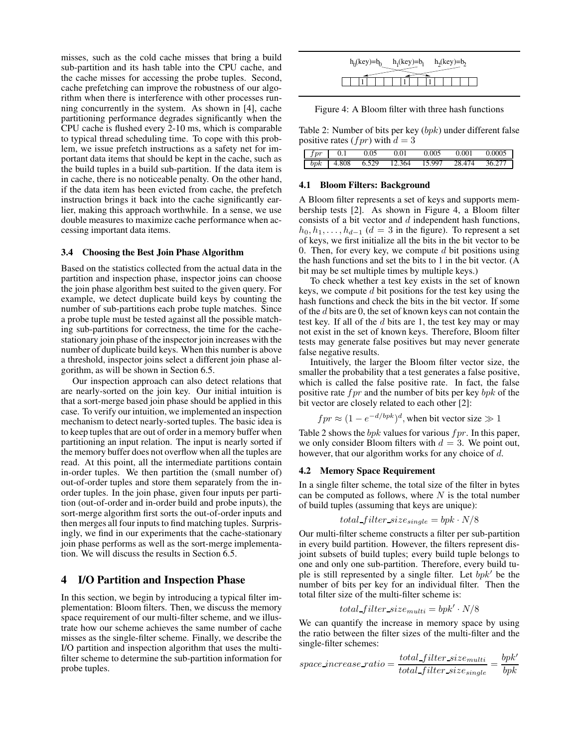misses, such as the cold cache misses that bring a build sub-partition and its hash table into the CPU cache, and the cache misses for accessing the probe tuples. Second, cache prefetching can improve the robustness of our algorithm when there is interference with other processes running concurrently in the system. As shown in [4], cache partitioning performance degrades significantly when the CPU cache is flushed every 2-10 ms, which is comparable to typical thread scheduling time. To cope with this problem, we issue prefetch instructions as a safety net for important data items that should be kept in the cache, such as the build tuples in a build sub-partition. If the data item is in cache, there is no noticeable penalty. On the other hand, if the data item has been evicted from cache, the prefetch instruction brings it back into the cache significantly earlier, making this approach worthwhile. In a sense, we use double measures to maximize cache performance when accessing important data items.

#### **3.4 Choosing the Best Join Phase Algorithm**

Based on the statistics collected from the actual data in the partition and inspection phase, inspector joins can choose the join phase algorithm best suited to the given query. For example, we detect duplicate build keys by counting the number of sub-partitions each probe tuple matches. Since a probe tuple must be tested against all the possible matching sub-partitions for correctness, the time for the cachestationary join phase of the inspector join increases with the number of duplicate build keys. When this number is above a threshold, inspector joins select a different join phase algorithm, as will be shown in Section 6.5.

Our inspection approach can also detect relations that are nearly-sorted on the join key. Our initial intuition is that a sort-merge based join phase should be applied in this case. To verify our intuition, we implemented an inspection mechanism to detect nearly-sorted tuples. The basic idea is to keep tuples that are out of order in a memory buffer when partitioning an input relation. The input is nearly sorted if the memory buffer does not overflow when all the tuples are read. At this point, all the intermediate partitions contain in-order tuples. We then partition the (small number of) out-of-order tuples and store them separately from the inorder tuples. In the join phase, given four inputs per partition (out-of-order and in-order build and probe inputs), the sort-merge algorithm first sorts the out-of-order inputs and then merges all four inputs to find matching tuples. Surprisingly, we find in our experiments that the cache-stationary join phase performs as well as the sort-merge implementation. We will discuss the results in Section 6.5.

### **4 I/O Partition and Inspection Phase**

In this section, we begin by introducing a typical filter implementation: Bloom filters. Then, we discuss the memory space requirement of our multi-filter scheme, and we illustrate how our scheme achieves the same number of cache misses as the single-filter scheme. Finally, we describe the I/O partition and inspection algorithm that uses the multifilter scheme to determine the sub-partition information for probe tuples.

| $h_0$ (key)= $b_0$<br>$h_1(key)=b_1$<br>$h_2(key)=b_2$ |  |  |  |
|--------------------------------------------------------|--|--|--|
|                                                        |  |  |  |
|                                                        |  |  |  |

Figure 4: A Bloom filter with three hash functions

Table 2: Number of bits per key (bpk) under different false positive rates (*fpr*) with  $d = 3$ 

| $\int$ |       | 0.05  |     | 0.005  | 0.001 | 0.0005 |
|--------|-------|-------|-----|--------|-------|--------|
| bpk    | 4.808 | 6.529 | 364 | 15.997 | 474   |        |

### **4.1 Bloom Filters: Background**

A Bloom filter represents a set of keys and supports membership tests [2]. As shown in Figure 4, a Bloom filter consists of a bit vector and  $d$  independent hash functions,  $h_0, h_1, \ldots, h_{d-1}$  ( $d = 3$  in the figure). To represent a set of keys, we first initialize all the bits in the bit vector to be 0. Then, for every key, we compute  $d$  bit positions using the hash functions and set the bits to 1 in the bit vector. (A bit may be set multiple times by multiple keys.)

To check whether a test key exists in the set of known keys, we compute  $d$  bit positions for the test key using the hash functions and check the bits in the bit vector. If some of the d bits are 0, the set of known keys can not contain the test key. If all of the  $d$  bits are 1, the test key may or may not exist in the set of known keys. Therefore, Bloom filter tests may generate false positives but may never generate false negative results.

Intuitively, the larger the Bloom filter vector size, the smaller the probability that a test generates a false positive, which is called the false positive rate. In fact, the false positive rate  $fpr$  and the number of bits per key  $bpk$  of the bit vector are closely related to each other [2]:

$$
fpr \approx (1 - e^{-d/bpk})^d
$$
, when bit vector size  $\gg 1$ 

Table 2 shows the bpk values for various  $fpr$ . In this paper, we only consider Bloom filters with  $d = 3$ . We point out, however, that our algorithm works for any choice of d.

#### **4.2 Memory Space Requirement**

In a single filter scheme, the total size of the filter in bytes can be computed as follows, where  $N$  is the total number of build tuples (assuming that keys are unique):

$$
total\_filter\_size_{single} = bpk \cdot N/8
$$

Our multi-filter scheme constructs a filter per sub-partition in every build partition. However, the filters represent disjoint subsets of build tuples; every build tuple belongs to one and only one sub-partition. Therefore, every build tuple is still represented by a single filter. Let  $bpk'$  be the number of bits per key for an individual filter. Then the total filter size of the multi-filter scheme is:

$$
total\_filter\_size_{multi} = bpk' \cdot N/8
$$

We can quantify the increase in memory space by using the ratio between the filter sizes of the multi-filter and the single-filter schemes:

$$
space\_increase\_ratio = \frac{total\_filter\_size_{multi}}{total\_filter\_size_{single}} = \frac{bpk'}{bpk}
$$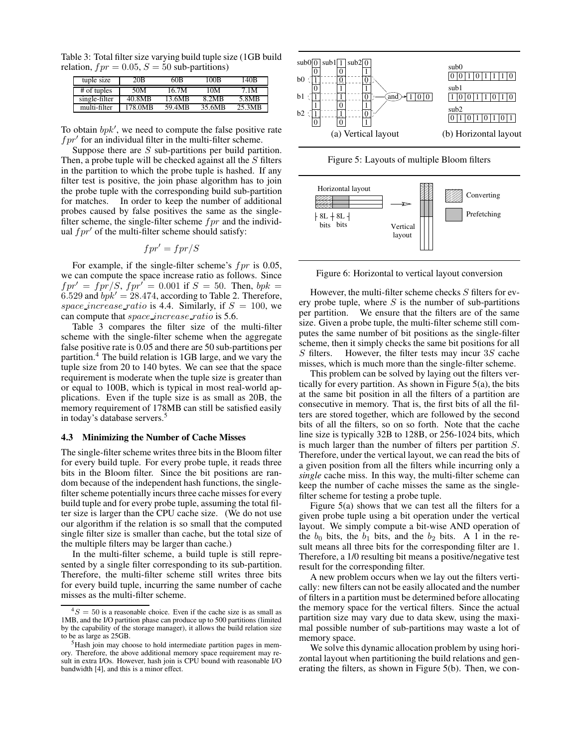Table 3: Total filter size varying build tuple size (1GB build relation,  $fpr = 0.05$ ,  $S = 50$  sub-partitions)

| tuple size    | 20 <sub>B</sub>     | 60B    | 100B   | 140B   |
|---------------|---------------------|--------|--------|--------|
| # of tuples   | 50M                 | 16.7M  | 10M    | 7.1M   |
| single-filter | $40.8M\overline{B}$ | 13.6MB | 8.2MB  | 5.8MB  |
| multi-filter  | 178.0MB             | 59.4MB | 35.6MB | 25.3MB |

To obtain  $bpk'$ , we need to compute the false positive rate  $fpr'$  for an individual filter in the multi-filter scheme.

Suppose there are S sub-partitions per build partition. Then, a probe tuple will be checked against all the  $S$  filters in the partition to which the probe tuple is hashed. If any filter test is positive, the join phase algorithm has to join the probe tuple with the corresponding build sub-partition for matches. In order to keep the number of additional probes caused by false positives the same as the singlefilter scheme, the single-filter scheme  $fpr$  and the individual  $fpr'$  of the multi-filter scheme should satisfy:

$$
fpr'=fpr/S
$$

For example, if the single-filter scheme's  $fpr$  is 0.05, we can compute the space increase ratio as follows. Since  $fpr' = fpr/S$ ,  $fpr' = 0.001$  if  $S = 50$ . Then,  $bpk =$ 6.529 and  $bpk' = 28.474$ , according to Table 2. Therefore, space increase ratio is 4.4. Similarly, if  $S = 100$ , we can compute that *space increase ratio* is 5.6.

Table 3 compares the filter size of the multi-filter scheme with the single-filter scheme when the aggregate false positive rate is 0.05 and there are 50 sub-partitions per partition.<sup>4</sup> The build relation is 1GB large, and we vary the tuple size from 20 to 140 bytes. We can see that the space requirement is moderate when the tuple size is greater than or equal to 100B, which is typical in most real-world applications. Even if the tuple size is as small as 20B, the memory requirement of 178MB can still be satisfied easily in today's database servers.<sup>5</sup>

#### **4.3 Minimizing the Number of Cache Misses**

The single-filter scheme writes three bits in the Bloom filter for every build tuple. For every probe tuple, it reads three bits in the Bloom filter. Since the bit positions are random because of the independent hash functions, the singlefilter scheme potentially incurs three cache misses for every build tuple and for every probe tuple, assuming the total filter size is larger than the CPU cache size. (We do not use our algorithm if the relation is so small that the computed single filter size is smaller than cache, but the total size of the multiple filters may be larger than cache.)

In the multi-filter scheme, a build tuple is still represented by a single filter corresponding to its sub-partition. Therefore, the multi-filter scheme still writes three bits for every build tuple, incurring the same number of cache misses as the multi-filter scheme.







Figure 6: Horizontal to vertical layout conversion

However, the multi-filter scheme checks  $S$  filters for every probe tuple, where  $S$  is the number of sub-partitions per partition. We ensure that the filters are of the same size. Given a probe tuple, the multi-filter scheme still computes the same number of bit positions as the single-filter scheme, then it simply checks the same bit positions for all  $S$  filters. However, the filter tests may incur 3 $S$  cache misses, which is much more than the single-filter scheme.

This problem can be solved by laying out the filters vertically for every partition. As shown in Figure  $5(a)$ , the bits at the same bit position in all the filters of a partition are consecutive in memory. That is, the first bits of all the filters are stored together, which are followed by the second bits of all the filters, so on so forth. Note that the cache line size is typically 32B to 128B, or 256-1024 bits, which is much larger than the number of filters per partition S. Therefore, under the vertical layout, we can read the bits of a given position from all the filters while incurring only a *single* cache miss. In this way, the multi-filter scheme can keep the number of cache misses the same as the singlefilter scheme for testing a probe tuple.

Figure 5(a) shows that we can test all the filters for a given probe tuple using a bit operation under the vertical layout. We simply compute a bit-wise AND operation of the  $b_0$  bits, the  $b_1$  bits, and the  $b_2$  bits. A 1 in the result means all three bits for the corresponding filter are 1. Therefore, a 1/0 resulting bit means a positive/negative test result for the corresponding filter.

A new problem occurs when we lay out the filters vertically: new filters can not be easily allocated and the number of filters in a partition must be determined before allocating the memory space for the vertical filters. Since the actual partition size may vary due to data skew, using the maximal possible number of sub-partitions may waste a lot of memory space.

We solve this dynamic allocation problem by using horizontal layout when partitioning the build relations and generating the filters, as shown in Figure 5(b). Then, we con-

 $^{4}S = 50$  is a reasonable choice. Even if the cache size is as small as 1MB, and the I/O partition phase can produce up to 500 partitions (limited by the capability of the storage manager), it allows the build relation size to be as large as 25GB.

<sup>5</sup>Hash join may choose to hold intermediate partition pages in memory. Therefore, the above additional memory space requirement may result in extra I/Os. However, hash join is CPU bound with reasonable I/O bandwidth [4], and this is a minor effect.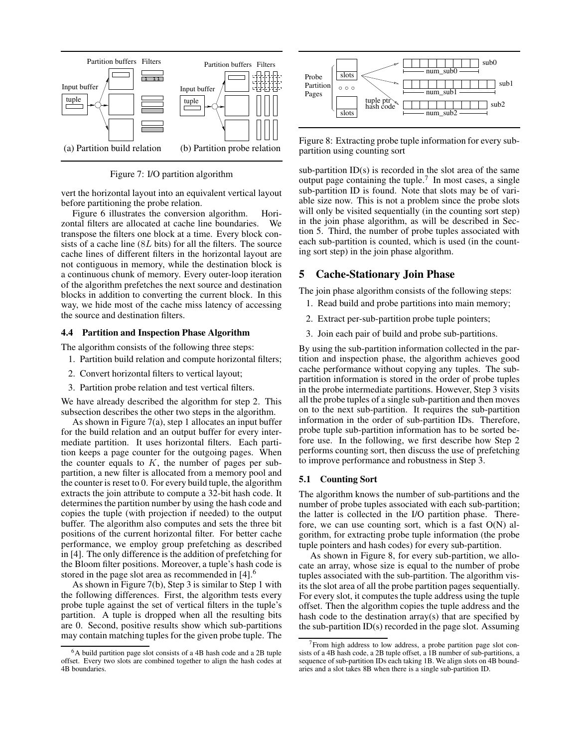

Figure 7: I/O partition algorithm

vert the horizontal layout into an equivalent vertical layout before partitioning the probe relation.

Figure 6 illustrates the conversion algorithm. Horizontal filters are allocated at cache line boundaries. We transpose the filters one block at a time. Every block consists of a cache line (8L bits) for all the filters. The source cache lines of different filters in the horizontal layout are not contiguous in memory, while the destination block is a continuous chunk of memory. Every outer-loop iteration of the algorithm prefetches the next source and destination blocks in addition to converting the current block. In this way, we hide most of the cache miss latency of accessing the source and destination filters.

### **4.4 Partition and Inspection Phase Algorithm**

The algorithm consists of the following three steps:

- 1. Partition build relation and compute horizontal filters;
- 2. Convert horizontal filters to vertical layout;
- 3. Partition probe relation and test vertical filters.

We have already described the algorithm for step 2. This subsection describes the other two steps in the algorithm.

As shown in Figure 7(a), step 1 allocates an input buffer for the build relation and an output buffer for every intermediate partition. It uses horizontal filters. Each partition keeps a page counter for the outgoing pages. When the counter equals to  $K$ , the number of pages per subpartition, a new filter is allocated from a memory pool and the counter is reset to 0. For every build tuple, the algorithm extracts the join attribute to compute a 32-bit hash code. It determines the partition number by using the hash code and copies the tuple (with projection if needed) to the output buffer. The algorithm also computes and sets the three bit positions of the current horizontal filter. For better cache performance, we employ group prefetching as described in [4]. The only difference is the addition of prefetching for the Bloom filter positions. Moreover, a tuple's hash code is stored in the page slot area as recommended in [4].<sup>6</sup>

As shown in Figure 7(b), Step 3 is similar to Step 1 with the following differences. First, the algorithm tests every probe tuple against the set of vertical filters in the tuple's partition. A tuple is dropped when all the resulting bits are 0. Second, positive results show which sub-partitions may contain matching tuples for the given probe tuple. The



Figure 8: Extracting probe tuple information for every subpartition using counting sort

sub-partition ID(s) is recorded in the slot area of the same output page containing the tuple.<sup>7</sup> In most cases, a single sub-partition ID is found. Note that slots may be of variable size now. This is not a problem since the probe slots will only be visited sequentially (in the counting sort step) in the join phase algorithm, as will be described in Section 5. Third, the number of probe tuples associated with each sub-partition is counted, which is used (in the counting sort step) in the join phase algorithm.

### **5 Cache-Stationary Join Phase**

The join phase algorithm consists of the following steps:

- 1. Read build and probe partitions into main memory;
- 2. Extract per-sub-partition probe tuple pointers;
- 3. Join each pair of build and probe sub-partitions.

By using the sub-partition information collected in the partition and inspection phase, the algorithm achieves good cache performance without copying any tuples. The subpartition information is stored in the order of probe tuples in the probe intermediate partitions. However, Step 3 visits all the probe tuples of a single sub-partition and then moves on to the next sub-partition. It requires the sub-partition information in the order of sub-partition IDs. Therefore, probe tuple sub-partition information has to be sorted before use. In the following, we first describe how Step 2 performs counting sort, then discuss the use of prefetching to improve performance and robustness in Step 3.

# **5.1 Counting Sort**

The algorithm knows the number of sub-partitions and the number of probe tuples associated with each sub-partition; the latter is collected in the I/O partition phase. Therefore, we can use counting sort, which is a fast O(N) algorithm, for extracting probe tuple information (the probe tuple pointers and hash codes) for every sub-partition.

As shown in Figure 8, for every sub-partition, we allocate an array, whose size is equal to the number of probe tuples associated with the sub-partition. The algorithm visits the slot area of all the probe partition pages sequentially. For every slot, it computes the tuple address using the tuple offset. Then the algorithm copies the tuple address and the hash code to the destination array(s) that are specified by the sub-partition  $ID(s)$  recorded in the page slot. Assuming

<sup>6</sup>A build partition page slot consists of a 4B hash code and a 2B tuple offset. Every two slots are combined together to align the hash codes at 4B boundaries.

<sup>&</sup>lt;sup>7</sup>From high address to low address, a probe partition page slot consists of a 4B hash code, a 2B tuple offset, a 1B number of sub-partitions, a sequence of sub-partition IDs each taking 1B. We align slots on 4B boundaries and a slot takes 8B when there is a single sub-partition ID.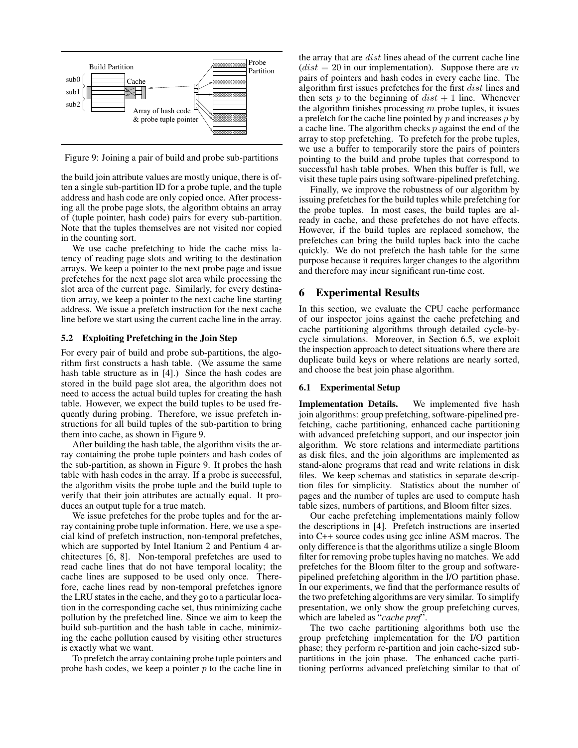

Figure 9: Joining a pair of build and probe sub-partitions

the build join attribute values are mostly unique, there is often a single sub-partition ID for a probe tuple, and the tuple address and hash code are only copied once. After processing all the probe page slots, the algorithm obtains an array of (tuple pointer, hash code) pairs for every sub-partition. Note that the tuples themselves are not visited nor copied in the counting sort.

We use cache prefetching to hide the cache miss latency of reading page slots and writing to the destination arrays. We keep a pointer to the next probe page and issue prefetches for the next page slot area while processing the slot area of the current page. Similarly, for every destination array, we keep a pointer to the next cache line starting address. We issue a prefetch instruction for the next cache line before we start using the current cache line in the array.

#### **5.2 Exploiting Prefetching in the Join Step**

For every pair of build and probe sub-partitions, the algorithm first constructs a hash table. (We assume the same hash table structure as in [4].) Since the hash codes are stored in the build page slot area, the algorithm does not need to access the actual build tuples for creating the hash table. However, we expect the build tuples to be used frequently during probing. Therefore, we issue prefetch instructions for all build tuples of the sub-partition to bring them into cache, as shown in Figure 9.

After building the hash table, the algorithm visits the array containing the probe tuple pointers and hash codes of the sub-partition, as shown in Figure 9. It probes the hash table with hash codes in the array. If a probe is successful, the algorithm visits the probe tuple and the build tuple to verify that their join attributes are actually equal. It produces an output tuple for a true match.

We issue prefetches for the probe tuples and for the array containing probe tuple information. Here, we use a special kind of prefetch instruction, non-temporal prefetches, which are supported by Intel Itanium 2 and Pentium 4 architectures [6, 8]. Non-temporal prefetches are used to read cache lines that do not have temporal locality; the cache lines are supposed to be used only once. Therefore, cache lines read by non-temporal prefetches ignore the LRU states in the cache, and they go to a particular location in the corresponding cache set, thus minimizing cache pollution by the prefetched line. Since we aim to keep the build sub-partition and the hash table in cache, minimizing the cache pollution caused by visiting other structures is exactly what we want.

To prefetch the array containing probe tuple pointers and probe hash codes, we keep a pointer  $p$  to the cache line in

 $\sqrt{\frac{1}{\sqrt{\frac{1}{2}}}}$  a cache line. The algorithm checks p against the end of the  $\sqrt{a}$  algorithm first issues prefetches for the first *dist* lines and  $\sqrt{\frac{1}{2}}$  a prefetch for the cache line pointed by p and increases p by the array that are dist lines ahead of the current cache line  $(dist = 20$  in our implementation). Suppose there are m pairs of pointers and hash codes in every cache line. The then sets  $p$  to the beginning of  $dist + 1$  line. Whenever the algorithm finishes processing  $m$  probe tuples, it issues array to stop prefetching. To prefetch for the probe tuples, we use a buffer to temporarily store the pairs of pointers pointing to the build and probe tuples that correspond to successful hash table probes. When this buffer is full, we visit these tuple pairs using software-pipelined prefetching.

> Finally, we improve the robustness of our algorithm by issuing prefetches for the build tuples while prefetching for the probe tuples. In most cases, the build tuples are already in cache, and these prefetches do not have effects. However, if the build tuples are replaced somehow, the prefetches can bring the build tuples back into the cache quickly. We do not prefetch the hash table for the same purpose because it requires larger changes to the algorithm and therefore may incur significant run-time cost.

### **6 Experimental Results**

In this section, we evaluate the CPU cache performance of our inspector joins against the cache prefetching and cache partitioning algorithms through detailed cycle-bycycle simulations. Moreover, in Section 6.5, we exploit the inspection approach to detect situations where there are duplicate build keys or where relations are nearly sorted, and choose the best join phase algorithm.

### **6.1 Experimental Setup**

**Implementation Details.** We implemented five hash join algorithms: group prefetching, software-pipelined prefetching, cache partitioning, enhanced cache partitioning with advanced prefetching support, and our inspector join algorithm. We store relations and intermediate partitions as disk files, and the join algorithms are implemented as stand-alone programs that read and write relations in disk files. We keep schemas and statistics in separate description files for simplicity. Statistics about the number of pages and the number of tuples are used to compute hash table sizes, numbers of partitions, and Bloom filter sizes.

Our cache prefetching implementations mainly follow the descriptions in [4]. Prefetch instructions are inserted into C++ source codes using gcc inline ASM macros. The only difference is that the algorithms utilize a single Bloom filter for removing probe tuples having no matches. We add prefetches for the Bloom filter to the group and softwarepipelined prefetching algorithm in the I/O partition phase. In our experiments, we find that the performance results of the two prefetching algorithms are very similar. To simplify presentation, we only show the group prefetching curves, which are labeled as "*cache pref*".

The two cache partitioning algorithms both use the group prefetching implementation for the I/O partition phase; they perform re-partition and join cache-sized subpartitions in the join phase. The enhanced cache partitioning performs advanced prefetching similar to that of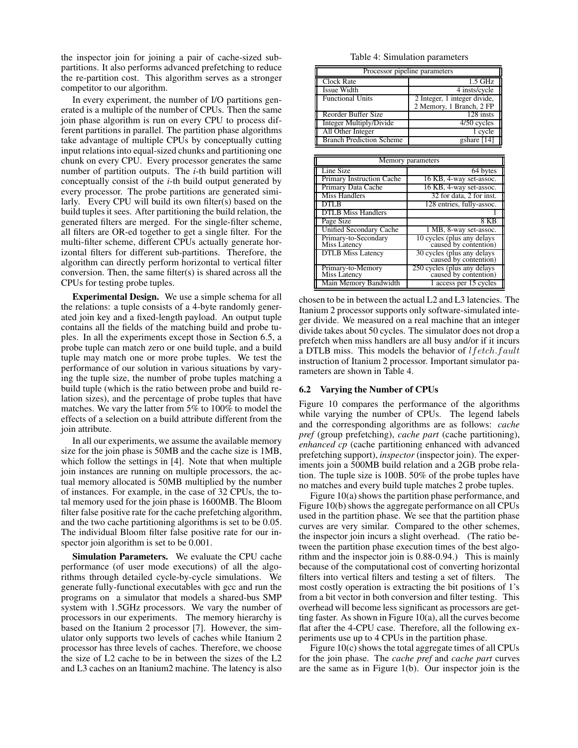the inspector join for joining a pair of cache-sized subpartitions. It also performs advanced prefetching to reduce the re-partition cost. This algorithm serves as a stronger competitor to our algorithm.

In every experiment, the number of I/O partitions generated is a multiple of the number of CPUs. Then the same join phase algorithm is run on every CPU to process different partitions in parallel. The partition phase algorithms take advantage of multiple CPUs by conceptually cutting input relations into equal-sized chunks and partitioning one chunk on every CPU. Every processor generates the same number of partition outputs. The *i*-th build partition will conceptually consist of the *i*-th build output generated by every processor. The probe partitions are generated similarly. Every CPU will build its own filter(s) based on the build tuples it sees. After partitioning the build relation, the generated filters are merged. For the single-filter scheme, all filters are OR-ed together to get a single filter. For the multi-filter scheme, different CPUs actually generate horizontal filters for different sub-partitions. Therefore, the algorithm can directly perform horizontal to vertical filter conversion. Then, the same filter(s) is shared across all the CPUs for testing probe tuples.

**Experimental Design.** We use a simple schema for all the relations: a tuple consists of a 4-byte randomly generated join key and a fixed-length payload. An output tuple contains all the fields of the matching build and probe tuples. In all the experiments except those in Section 6.5, a probe tuple can match zero or one build tuple, and a build tuple may match one or more probe tuples. We test the performance of our solution in various situations by varying the tuple size, the number of probe tuples matching a build tuple (which is the ratio between probe and build relation sizes), and the percentage of probe tuples that have matches. We vary the latter from 5% to 100% to model the effects of a selection on a build attribute different from the join attribute.

In all our experiments, we assume the available memory size for the join phase is 50MB and the cache size is 1MB, which follow the settings in [4]. Note that when multiple join instances are running on multiple processors, the actual memory allocated is 50MB multiplied by the number of instances. For example, in the case of 32 CPUs, the total memory used for the join phase is 1600MB. The Bloom filter false positive rate for the cache prefetching algorithm, and the two cache partitioning algorithms is set to be 0.05. The individual Bloom filter false positive rate for our inspector join algorithm is set to be 0.001.

**Simulation Parameters.** We evaluate the CPU cache performance (of user mode executions) of all the algorithms through detailed cycle-by-cycle simulations. We generate fully-functional executables with gcc and run the programs on a simulator that models a shared-bus SMP system with 1.5GHz processors. We vary the number of processors in our experiments. The memory hierarchy is based on the Itanium 2 processor [7]. However, the simulator only supports two levels of caches while Itanium 2 processor has three levels of caches. Therefore, we choose the size of L2 cache to be in between the sizes of the L2 and L3 caches on an Itanium2 machine. The latency is also

Table 4: Simulation parameters

| Processor pipeline parameters   |                                                          |  |
|---------------------------------|----------------------------------------------------------|--|
| Clock Rate                      | $1.5$ GHz                                                |  |
| Issue Width                     | 4 insts/cycle                                            |  |
| <b>Functional Units</b>         | 2 Integer, 1 integer divide,<br>2 Memory, 1 Branch, 2 FP |  |
| Reorder Buffer Size             | 128 insts                                                |  |
| <b>Integer Multiply/Divide</b>  | 4/50 cycles                                              |  |
| All Other Integer               | 1 cycle                                                  |  |
| <b>Branch Prediction Scheme</b> | gshare [14]                                              |  |

| Memory parameters                    |                                                      |  |
|--------------------------------------|------------------------------------------------------|--|
| Line Size                            | 64 bytes                                             |  |
| Primary Instruction Cache            | 16 KB, 4-way set-assoc.                              |  |
| Primary Data Cache                   | 16 KB, 4-way set-assoc.                              |  |
| Miss Handlers                        | 32 for data, 2 for inst.                             |  |
| DTLB                                 | 128 entries, fully-assoc.                            |  |
| <b>DTLB</b> Miss Handlers            |                                                      |  |
| Page Size                            | 8 KB                                                 |  |
| <b>Unified Secondary Cache</b>       | 1 MB, 8-way set-assoc.                               |  |
| Primary-to-Secondary<br>Miss Latency | 10 cycles (plus any delays<br>caused by contention)  |  |
| <b>DTLB</b> Miss Latency             | 30 cycles (plus any delays<br>caused by contention)  |  |
| Primary-to-Memory<br>Miss Latency    | 250 cycles (plus any delays<br>caused by contention) |  |
| Main Memory Bandwidth                | 1 access per 15 cycles                               |  |

chosen to be in between the actual L2 and L3 latencies. The Itanium 2 processor supports only software-simulated integer divide. We measured on a real machine that an integer divide takes about 50 cycles. The simulator does not drop a prefetch when miss handlers are all busy and/or if it incurs a DTLB miss. This models the behavior of lfetch.fault instruction of Itanium 2 processor. Important simulator parameters are shown in Table 4.

#### **6.2 Varying the Number of CPUs**

Figure 10 compares the performance of the algorithms while varying the number of CPUs. The legend labels and the corresponding algorithms are as follows: *cache pref* (group prefetching), *cache part* (cache partitioning), *enhanced cp* (cache partitioning enhanced with advanced prefetching support), *inspector* (inspector join). The experiments join a 500MB build relation and a 2GB probe relation. The tuple size is 100B. 50% of the probe tuples have no matches and every build tuple matches 2 probe tuples.

Figure  $10(a)$  shows the partition phase performance, and Figure 10(b) shows the aggregate performance on all CPUs used in the partition phase. We see that the partition phase curves are very similar. Compared to the other schemes, the inspector join incurs a slight overhead. (The ratio between the partition phase execution times of the best algorithm and the inspector join is 0.88-0.94.) This is mainly because of the computational cost of converting horizontal filters into vertical filters and testing a set of filters. The most costly operation is extracting the bit positions of 1's from a bit vector in both conversion and filter testing. This overhead will become less significant as processors are getting faster. As shown in Figure 10(a), all the curves become flat after the 4-CPU case. Therefore, all the following experiments use up to 4 CPUs in the partition phase.

Figure  $10(c)$  shows the total aggregate times of all CPUs for the join phase. The *cache pref* and *cache part* curves are the same as in Figure 1(b). Our inspector join is the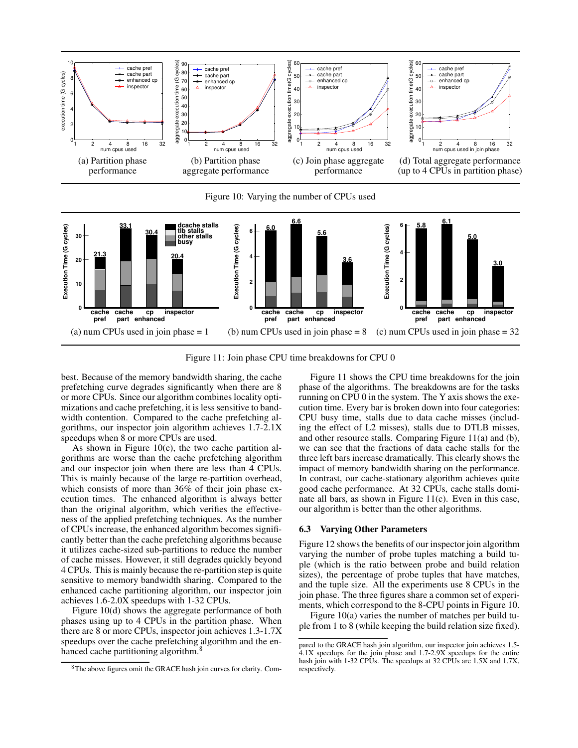

Figure 10: Varying the number of CPUs used



Figure 11: Join phase CPU time breakdowns for CPU 0

best. Because of the memory bandwidth sharing, the cache prefetching curve degrades significantly when there are 8 or more CPUs. Since our algorithm combines locality optimizations and cache prefetching, it is less sensitive to bandwidth contention. Compared to the cache prefetching algorithms, our inspector join algorithm achieves 1.7-2.1X speedups when 8 or more CPUs are used.

As shown in Figure  $10(c)$ , the two cache partition algorithms are worse than the cache prefetching algorithm and our inspector join when there are less than 4 CPUs. This is mainly because of the large re-partition overhead, which consists of more than 36% of their join phase execution times. The enhanced algorithm is always better than the original algorithm, which verifies the effectiveness of the applied prefetching techniques. As the number of CPUs increase, the enhanced algorithm becomes significantly better than the cache prefetching algorithms because it utilizes cache-sized sub-partitions to reduce the number of cache misses. However, it still degrades quickly beyond 4 CPUs. This is mainly because the re-partition step is quite sensitive to memory bandwidth sharing. Compared to the enhanced cache partitioning algorithm, our inspector join achieves 1.6-2.0X speedups with 1-32 CPUs.

Figure 10(d) shows the aggregate performance of both phases using up to 4 CPUs in the partition phase. When there are 8 or more CPUs, inspector join achieves 1.3-1.7X speedups over the cache prefetching algorithm and the enhanced cache partitioning algorithm.<sup>8</sup>

Figure 11 shows the CPU time breakdowns for the join phase of the algorithms. The breakdowns are for the tasks running on CPU 0 in the system. The Y axis shows the execution time. Every bar is broken down into four categories: CPU busy time, stalls due to data cache misses (including the effect of L2 misses), stalls due to DTLB misses, and other resource stalls. Comparing Figure 11(a) and (b), we can see that the fractions of data cache stalls for the three left bars increase dramatically. This clearly shows the impact of memory bandwidth sharing on the performance. In contrast, our cache-stationary algorithm achieves quite good cache performance. At 32 CPUs, cache stalls dominate all bars, as shown in Figure 11(c). Even in this case, our algorithm is better than the other algorithms.

### **6.3 Varying Other Parameters**

Figure 12 shows the benefits of our inspector join algorithm varying the number of probe tuples matching a build tuple (which is the ratio between probe and build relation sizes), the percentage of probe tuples that have matches, and the tuple size. All the experiments use 8 CPUs in the join phase. The three figures share a common set of experiments, which correspond to the 8-CPU points in Figure 10.

Figure 10(a) varies the number of matches per build tuple from 1 to 8 (while keeping the build relation size fixed).

<sup>8</sup>The above figures omit the GRACE hash join curves for clarity. Com-

pared to the GRACE hash join algorithm, our inspector join achieves 1.5-  $4.1X$  speedups for the join phase and  $1.7-2.9X$  speedups for the entire hash join with 1-32 CPUs. The speedups at 32 CPUs are 1.5X and 1.7X, respectively.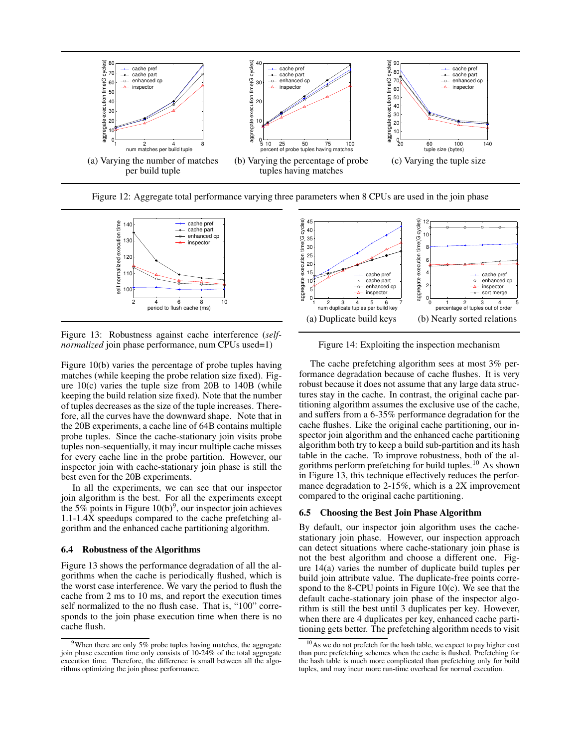

Figure 12: Aggregate total performance varying three parameters when 8 CPUs are used in the join phase



Figure 13: Robustness against cache interference (*selfnormalized* join phase performance, num CPUs used=1)

Figure 10(b) varies the percentage of probe tuples having matches (while keeping the probe relation size fixed). Figure  $10(c)$  varies the tuple size from 20B to  $140B$  (while keeping the build relation size fixed). Note that the number of tuples decreases as the size of the tuple increases. Therefore, all the curves have the downward shape. Note that in the 20B experiments, a cache line of 64B contains multiple probe tuples. Since the cache-stationary join visits probe tuples non-sequentially, it may incur multiple cache misses for every cache line in the probe partition. However, our inspector join with cache-stationary join phase is still the best even for the 20B experiments.

In all the experiments, we can see that our inspector join algorithm is the best. For all the experiments except the 5% points in Figure  $10(b)$ <sup>9</sup>, our inspector join achieves 1.1-1.4X speedups compared to the cache prefetching algorithm and the enhanced cache partitioning algorithm.

### **6.4 Robustness of the Algorithms**

Figure 13 shows the performance degradation of all the algorithms when the cache is periodically flushed, which is the worst case interference. We vary the period to flush the cache from 2 ms to 10 ms, and report the execution times self normalized to the no flush case. That is, "100" corresponds to the join phase execution time when there is no cache flush.



Figure 14: Exploiting the inspection mechanism

The cache prefetching algorithm sees at most 3% performance degradation because of cache flushes. It is very robust because it does not assume that any large data structures stay in the cache. In contrast, the original cache partitioning algorithm assumes the exclusive use of the cache, and suffers from a 6-35% performance degradation for the cache flushes. Like the original cache partitioning, our inspector join algorithm and the enhanced cache partitioning algorithm both try to keep a build sub-partition and its hash table in the cache. To improve robustness, both of the algorithms perform prefetching for build tuples.<sup>10</sup> As shown in Figure 13, this technique effectively reduces the performance degradation to 2-15%, which is a 2X improvement compared to the original cache partitioning.

#### **6.5 Choosing the Best Join Phase Algorithm**

By default, our inspector join algorithm uses the cachestationary join phase. However, our inspection approach can detect situations where cache-stationary join phase is not the best algorithm and choose a different one. Figure 14(a) varies the number of duplicate build tuples per build join attribute value. The duplicate-free points correspond to the 8-CPU points in Figure 10 $(c)$ . We see that the default cache-stationary join phase of the inspector algorithm is still the best until 3 duplicates per key. However, when there are 4 duplicates per key, enhanced cache partitioning gets better. The prefetching algorithm needs to visit

 $9$ When there are only 5% probe tuples having matches, the aggregate join phase execution time only consists of 10-24% of the total aggregate execution time. Therefore, the difference is small between all the algorithms optimizing the join phase performance.

<sup>&</sup>lt;sup>10</sup>As we do not prefetch for the hash table, we expect to pay higher cost than pure prefetching schemes when the cache is flushed. Prefetching for the hash table is much more complicated than prefetching only for build tuples, and may incur more run-time overhead for normal execution.